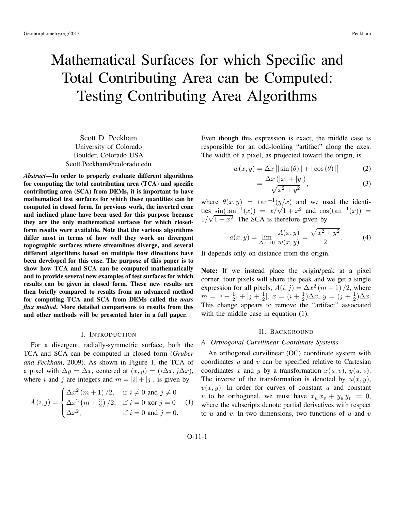# Mathematical Surfaces for which Specific and Total Contributing Area can be Computed: Testing Contributing Area Algorithms

Scott D. Peckham University of Colorado Boulder, Colorado USA Scott.Peckham@colorado.edu

*Abstract*—In order to properly evaluate different algorithms for computing the total contributing area (TCA) and specific contributing area (SCA) from DEMs, it is important to have mathematical test surfaces for which these quantities can be computed in closed form. In previous work, the inverted cone and inclined plane have been used for this purpose because they are the only mathematical surfaces for which closedform results were available. Note that the various algorithms differ most in terms of how well they work on divergent topographic surfaces where streamlines diverge, and several different algorithms based on multiple flow directions have been developed for this case. The purpose of this paper is to show how TCA and SCA can be computed mathematically and to provide several new examples of test surfaces for which results can be given in closed form. These new results are then briefly compared to results from an advanced method for computing TCA and SCA from DEMs called the *mass flux method*. More detailed comparisons to results from this and other methods will be presented later in a full paper.

# I. INTRODUCTION

For a divergent, radially-symmetric surface, both the TCA and SCA can be computed in closed form (*Gruber and Peckham*, 2009). As shown in Figure 1, the TCA of a pixel with  $\Delta y = \Delta x$ , centered at  $(x, y) = (i\Delta x, j\Delta x)$ , where i and j are integers and  $m = |i| + |j|$ , is given by

$$
A(i,j) = \begin{cases} \Delta x^2 (m+1)/2, & \text{if } i \neq 0 \text{ and } j \neq 0\\ \Delta x^2 (m+\frac{3}{2})/2, & \text{if } i = 0 \text{ xor } j = 0\\ \Delta x^2, & \text{if } i = 0 \text{ and } j = 0. \end{cases}
$$
(1)

Even though this expression is exact, the middle case is responsible for an odd-looking "artifact" along the axes. The width of a pixel, as projected toward the origin, is

$$
w(x, y) = \Delta x \left[ \left| \sin \left( \theta \right) \right| + \left| \cos \left( \theta \right) \right| \right] \tag{2}
$$

$$
=\frac{\Delta x\left(|x|+|y|\right)}{\sqrt{x^2+y^2}},\tag{3}
$$

where  $\theta(x, y) = \tan^{-1}(y/x)$  and we used the identiwhere  $\theta(x, y) = \tan^{-1}(y/x)$  and we used the identi-<br>ties  $\sin(\tan^{-1}(x)) = x/\sqrt{1+x^2}$  and  $\cos(\tan^{-1}(x)) =$  $1/\sqrt{1+x^2}$ . The SCA is therefore given by

$$
a(x,y) = \lim_{\Delta x \to 0} \frac{A(x,y)}{w(x,y)} = \frac{\sqrt{x^2 + y^2}}{2}.
$$
 (4)

It depends only on distance from the origin.

Note: If we instead place the origin/peak at a pixel corner, four pixels will share the peak and we get a single expression for all pixels,  $A(i, j) = \Delta x^2 (m + 1) / 2$ , where  $m = |i + \frac{1}{2}|$  $\frac{1}{2}|+|j+\frac{1}{2}|$  $\frac{1}{2}$ ,  $x = (i + \frac{1}{2})$  $(\frac{1}{2})\Delta x, y = (j + \frac{1}{2})$  $\frac{1}{2}$ ) $\Delta x$ . This change appears to remove the "artifact" associated with the middle case in equation  $(1)$ .

# II. BACKGROUND

# *A. Orthogonal Curvilinear Coordinate Systems*

An orthogonal curvilinear (OC) coordinate system with coordinates  $u$  and  $v$  can be specified relative to Cartesian coordinates x and y by a transformation  $x(u, v)$ ,  $y(u, v)$ . The inverse of the transformation is denoted by  $u(x, y)$ ,  $v(x, y)$ . In order for curves of constant u and constant v to be orthogonal, we must have  $x_u x_v + y_u y_v = 0$ , where the subscripts denote partial derivatives with respect to u and v. In two dimensions, two functions of u and v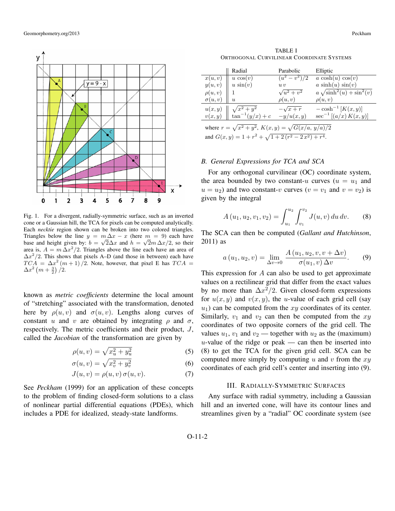

Fig. 1. For a divergent, radially-symmetric surface, such as an inverted cone or a Gaussian hill, the TCA for pixels can be computed analytically. Each *necktie* region shown can be broken into two colored triangles. Triangles below the line  $y = m\Delta x - x$  (here  $m = 9$ ) each have base and height given by:  $b = \sqrt{2\Delta x}$  and  $h = \sqrt{2m \Delta x/2}$ , so their area is,  $A = m \Delta x^2/2$ . Triangles above the line each have an area of  $\Delta x^2/2$ . This shows that pixels A–D (and those in between) each have  $TCA = \Delta x^2 (m+1)/2$ . Note, however, that pixel E has  $TCA =$  $\Delta x^2 (m + \frac{3}{2})/2.$ 

known as *metric coefficients* determine the local amount of "stretching" associated with the transformation, denoted here by  $\rho(u, v)$  and  $\sigma(u, v)$ . Lengths along curves of constant u and v are obtained by integrating  $\rho$  and  $\sigma$ , respectively. The metric coefficients and their product, J, called the *Jacobian* of the transformation are given by

$$
\rho(u,v) = \sqrt{x_u^2 + y_u^2} \tag{5}
$$

$$
\sigma(u,v) = \sqrt{x_v^2 + y_v^2} \tag{6}
$$

$$
J(u, v) = \rho(u, v) \sigma(u, v). \tag{7}
$$

See *Peckham* (1999) for an application of these concepts to the problem of finding closed-form solutions to a class of nonlinear partial differential equations (PDEs), which includes a PDE for idealized, steady-state landforms.

TABLE I ORTHOGONAL CURVILINEAR COORDINATE SYSTEMS

|                  | Radial                                   | Parabolic                     | Elliptic                                             |
|------------------|------------------------------------------|-------------------------------|------------------------------------------------------|
| x(u, v)          | $u \cos(v)$                              | $(u^2 - v^2)/2$               | $a \cosh(u) \cos(v)$                                 |
| y(u, v)          | $u \sin(v)$                              | u v                           | $a \sinh(u) \sin(v)$                                 |
| $\rho(u,v)$      |                                          | $\sqrt{u^2 + v^2}$            | $a \sqrt{\sinh^2(u) + \sin^2(v)}$                    |
| $\sigma(u,v)$    | $\boldsymbol{\mathit{u}}$                | $\rho(u,v)$                   | $\rho(u,v)$                                          |
| u(x,y)<br>v(x,y) | $\sqrt{x^2+y^2}$<br>$\tan^{-1}(y/x) + c$ | $-\sqrt{x}+r$<br>$-y/u(x, y)$ | $-\cosh^{-1}[K(x,y)]$<br>$\sec^{-1} [(a/x) K(x, y)]$ |

where  $r = \sqrt{x^2 + y^2}$ ,  $K(x, y) = \sqrt{G(x/a, y/a)/2}$ and  $G(x, y) = 1 + r^2 + \sqrt{1 + 2(r^2 - 2x^2) + r^4}$ .

# *B. General Expressions for TCA and SCA*

For any orthogonal curvilinear (OC) coordinate system, the area bounded by two constant-u curves  $(u = u_1)$  and  $u = u_2$ ) and two constant-v curves  $(v = v_1$  and  $v = v_2)$  is given by the integral

$$
A(u_1, u_2, v_1, v_2) = \int_{u_1}^{u_2} \int_{v_1}^{v_2} J(u, v) \, du \, dv. \tag{8}
$$

The SCA can then be computed (*Gallant and Hutchinson*, 2011) as

$$
a(u_1, u_2, v) = \lim_{\Delta v \to 0} \frac{A(u_1, u_2, v, v + \Delta v)}{\sigma(u_1, v) \Delta v}.
$$
 (9)

This expression for A can also be used to get approximate values on a rectilinear grid that differ from the exact values by no more than  $\Delta x^2/2$ . Given closed-form expressions for  $u(x, y)$  and  $v(x, y)$ , the u-value of each grid cell (say  $u_1$ ) can be computed from the xy coordinates of its center. Similarly,  $v_1$  and  $v_2$  can then be computed from the  $xy$ coordinates of two opposite corners of the grid cell. The values  $u_1$ ,  $v_1$  and  $v_2$  — together with  $u_2$  as the (maximum)  $u$ -value of the ridge or peak — can then be inserted into (8) to get the TCA for the given grid cell. SCA can be computed more simply by computing u and v from the  $xy$ coordinates of each grid cell's center and inserting into (9).

#### III. RADIALLY-SYMMETRIC SURFACES

Any surface with radial symmetry, including a Gaussian hill and an inverted cone, will have its contour lines and streamlines given by a "radial" OC coordinate system (see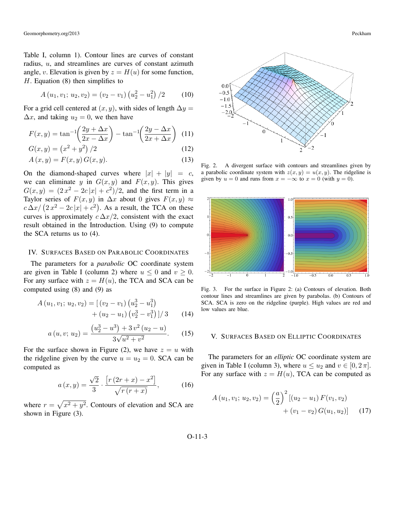Geomorphometry.org/2013 Peckham

Table I, column 1). Contour lines are curves of constant radius, u, and streamlines are curves of constant azimuth angle, v. Elevation is given by  $z = H(u)$  for some function,  $H$ . Equation (8) then simplifies to

$$
A(u_1, v_1; u_2, v_2) = (v_2 - v_1) (u_2^2 - u_1^2) / 2 \tag{10}
$$

For a grid cell centered at  $(x, y)$ , with sides of length  $\Delta y =$  $\Delta x$ , and taking  $u_2 = 0$ , we then have

$$
F(x,y) = \tan^{-1}\left(\frac{2y + \Delta x}{2x - \Delta x}\right) - \tan^{-1}\left(\frac{2y - \Delta x}{2x + \Delta x}\right) \tag{11}
$$

$$
G(x, y) = (x^2 + y^2)/2
$$
 (12)

$$
A(x, y) = F(x, y) G(x, y).
$$
 (13)

On the diamond-shaped curves where  $|x| + |y| = c$ , we can eliminate y in  $G(x, y)$  and  $F(x, y)$ . This gives  $G(x,y) = (2x^2 - 2c|x| + c^2)/2$ , and the first term in a Taylor series of  $F(x, y)$  in  $\Delta x$  about 0 gives  $F(x, y) \approx$  $c \Delta x / (2x^2 - 2c|x| + c^2)$ . As a result, the TCA on these curves is approximately  $c \Delta x/2$ , consistent with the exact result obtained in the Introduction. Using (9) to compute the SCA returns us to (4).

# IV. SURFACES BASED ON PARABOLIC COORDINATES

The parameters for a *parabolic* OC coordinate system are given in Table I (column 2) where  $u \leq 0$  and  $v \geq 0$ . For any surface with  $z = H(u)$ , the TCA and SCA can be computed using (8) and (9) as

$$
A (u_1, v_1; u_2, v_2) = [(v_2 - v_1) (u_2^3 - u_1^3) + (u_2 - u_1) (v_2^3 - v_1^3)]/3
$$
 (14)

$$
a(u, v; u_2) = \frac{(u_2^3 - u^3) + 3v^2(u_2 - u)}{3\sqrt{u^2 + v^2}}.
$$
 (15)

For the surface shown in Figure (2), we have  $z = u$  with the ridgeline given by the curve  $u = u_2 = 0$ . SCA can be computed as

$$
a(x,y) = \frac{\sqrt{2}}{3} \cdot \frac{[r(2r+x) - x^2]}{\sqrt{r(r+x)}},
$$
 (16)

where  $r = \sqrt{x^2 + y^2}$ . Contours of elevation and SCA are shown in Figure (3).



Fig. 2. A divergent surface with contours and streamlines given by a parabolic coordinate system with  $z(x, y) = u(x, y)$ . The ridgeline is given by  $u = 0$  and runs from  $x = -\infty$  to  $x = 0$  (with  $y = 0$ ).



Fig. 3. For the surface in Figure 2: (a) Contours of elevation. Both contour lines and streamlines are given by parabolas. (b) Contours of SCA. SCA is zero on the ridgeline (purple). High values are red and low values are blue.

## V. SURFACES BASED ON ELLIPTIC COORDINATES

The parameters for an *elliptic* OC coordinate system are given in Table I (column 3), where  $u \le u_2$  and  $v \in [0, 2\pi]$ . For any surface with  $z = H(u)$ , TCA can be computed as

$$
A(u_1, v_1; u_2, v_2) = \left(\frac{a}{2}\right)^2 \left[ (u_2 - u_1) F(v_1, v_2) + (v_1 - v_2) G(u_1, u_2) \right]
$$
 (17)

O-11-3